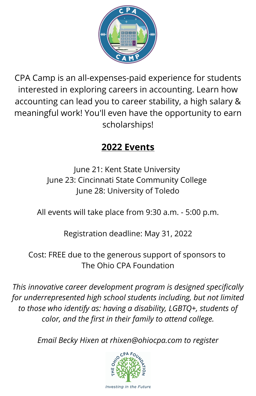

CPA Camp is an all-expenses-paid experience for students interested in exploring careers in accounting. Learn how accounting can lead you to career stability, a high salary & meaningful work! You'll even have the opportunity to earn scholarships!

## **2022 Events**

June 21: Kent State University June 23: Cincinnati State Community College June 28: University of Toledo

All events will take place from 9:30 a.m. - 5:00 p.m.

Registration deadline: May 31, 2022

Cost: FREE due to the generous support of sponsors to The Ohio CPA Foundation

*This innovative career development program is designed specifically for underrepresented high school students including, but not limited to those who identify as: having a disability, LGBTQ+, students of color, and the first in their family to attend college.*

*Email Becky Hixen at rhixen@ohiocpa.com to register*